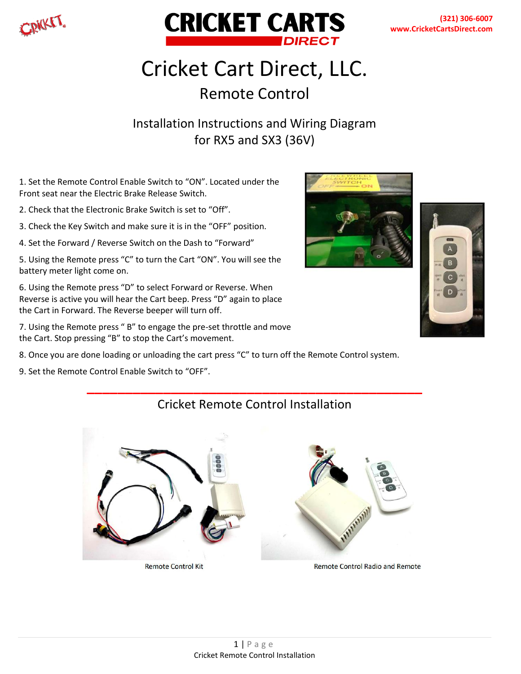



# Cricket Cart Direct, LLC. Remote Control

### Installation Instructions and Wiring Diagram for RX5 and SX3 (36V)

1. Set the Remote Control Enable Switch to "ON". Located under the Front seat near the Electric Brake Release Switch.

2. Check that the Electronic Brake Switch is set to "Off".

3. Check the Key Switch and make sure it is in the "OFF" position.

4. Set the Forward / Reverse Switch on the Dash to "Forward"

5. Using the Remote press "C" to turn the Cart "ON". You will see the battery meter light come on.

6. Using the Remote press "D" to select Forward or Reverse. When Reverse is active you will hear the Cart beep. Press "D" again to place the Cart in Forward. The Reverse beeper will turn off.

7. Using the Remote press " B" to engage the pre-set throttle and move the Cart. Stop pressing "B" to stop the Cart's movement.



9. Set the Remote Control Enable Switch to "OFF".





### **\_\_\_\_\_\_\_\_\_\_\_\_\_\_\_\_\_\_\_\_\_\_\_\_\_\_\_\_\_\_\_\_\_\_\_\_\_\_\_\_\_\_\_\_** Cricket Remote Control Installation

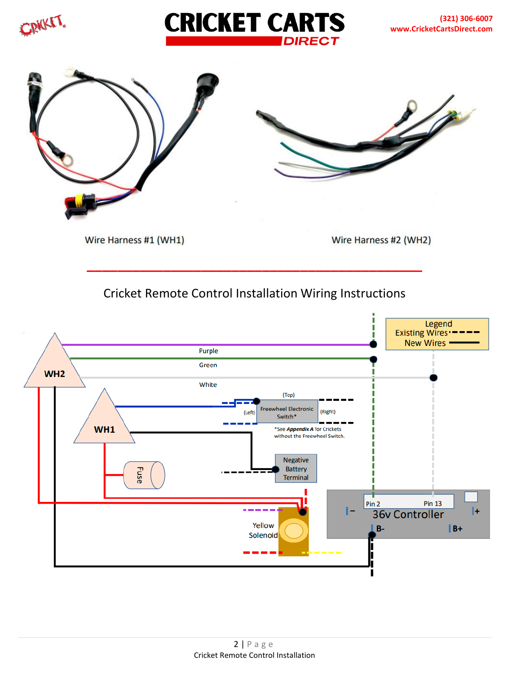





**\_\_\_\_\_\_\_\_\_\_\_\_\_\_\_\_\_\_\_\_\_\_\_\_\_\_\_\_\_\_\_\_\_\_\_\_\_\_\_\_\_\_\_\_** Cricket Remote Control Installation Wiring Instructions

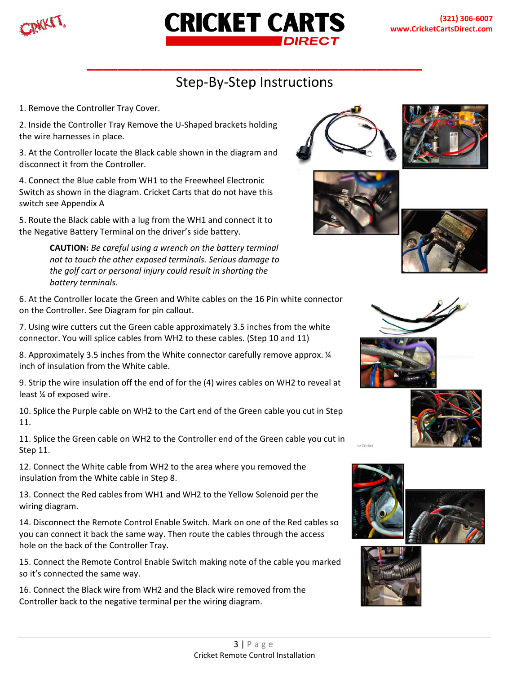



## Step-By-Step Instructions

**\_\_\_\_\_\_\_\_\_\_\_\_\_\_\_\_\_\_\_\_\_\_\_\_\_\_\_\_\_\_\_\_\_\_\_\_\_\_\_\_\_\_\_\_**

1. Remove the Controller Tray Cover.

2. Inside the Controller Tray Remove the U-Shaped brackets holding the wire harnesses in place.

3. At the Controller locate the Black cable shown in the diagram and disconnect it from the Controller.

4. Connect the Blue cable from WH1 to the Freewheel Electronic Switch as shown in the diagram. Cricket Carts that do not have this switch see Appendix A

5. Route the Black cable with a lug from the WH1 and connect it to the Negative Battery Terminal on the driver's side battery.

> **CAUTION:** *Be careful using a wrench on the battery terminal not to touch the other exposed terminals. Serious damage to the golf cart or personal injury could result in shorting the battery terminals.*

6. At the Controller locate the Green and White cables on the 16 Pin white connector on the Controller. See Diagram for pin callout.

7. Using wire cutters cut the Green cable approximately 3.5 inches from the white connector. You will splice cables from WH2 to these cables. (Step 10 and 11)

8. Approximately 3.5 inches from the White connector carefully remove approx. ¼ inch of insulation from the White cable.

9. Strip the wire insulation off the end of for the (4) wires cables on WH2 to reveal at least ¼ of exposed wire.

10. Splice the Purple cable on WH2 to the Cart end of the Green cable you cut in Step 11.

11. Splice the Green cable on WH2 to the Controller end of the Green cable you cut in Step 11.

12. Connect the White cable from WH2 to the area where you removed the insulation from the White cable in Step 8.

13. Connect the Red cables from WH1 and WH2 to the Yellow Solenoid per the wiring diagram.

14. Disconnect the Remote Control Enable Switch. Mark on one of the Red cables so you can connect it back the same way. Then route the cables through the access hole on the back of the Controller Tray.

15. Connect the Remote Control Enable Switch making note of the cable you marked so it's connected the same way.

16. Connect the Black wire from WH2 and the Black wire removed from the Controller back to the negative terminal per the wiring diagram.

















ne Cricket